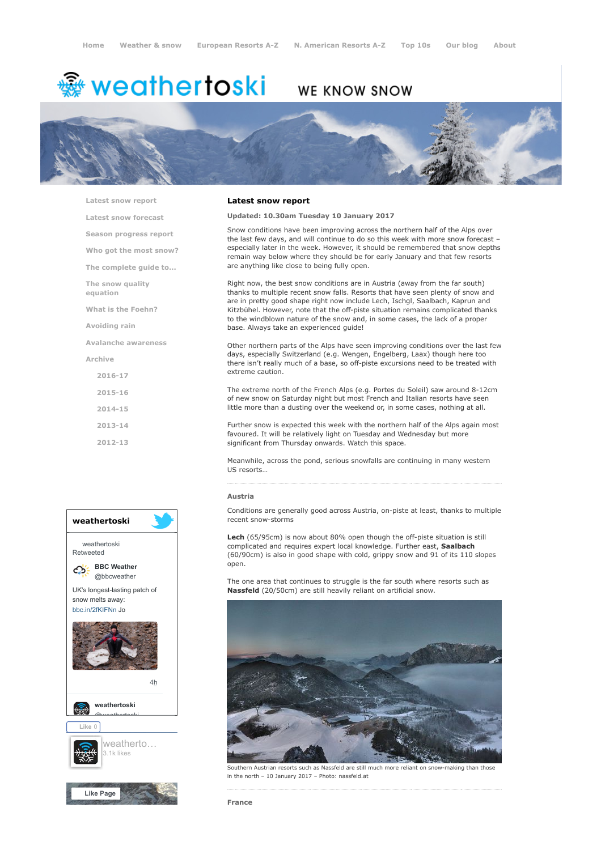# ∰ weathertoski

## WE KNOW SNOW



[Latest snow report](https://www.weathertoski.co.uk/weather-snow/latest-snow-report/)

[Latest snow forecast](https://www.weathertoski.co.uk/weather-snow/latest-snow-forecast/)

[Season progress report](https://www.weathertoski.co.uk/weather-snow/season-progress-report/)

[Who got the most snow?](https://www.weathertoski.co.uk/weather-snow/who-got-the-most-snow/)

[The complete guide to...](https://www.weathertoski.co.uk/weather-snow/the-complete-guide-to/)

[The snow quality](https://www.weathertoski.co.uk/weather-snow/the-snow-quality-equation/)

[What is the Foehn?](https://www.weathertoski.co.uk/weather-snow/what-is-the-foehn/)

[Avoiding rain](https://www.weathertoski.co.uk/weather-snow/avoiding-rain/)

equation

[Avalanche awareness](https://www.weathertoski.co.uk/weather-snow/avalanche-awareness/)

[Archive](https://www.weathertoski.co.uk/weather-snow/archive/)

- [2016-17](https://www.weathertoski.co.uk/weather-snow/archive/2016-17/)
- [2015-16](https://www.weathertoski.co.uk/weather-snow/archive/2015-16/)
- [2014-15](https://www.weathertoski.co.uk/weather-snow/archive/2014-15/)

[2013-14](https://www.weathertoski.co.uk/weather-snow/archive/2013-14/)

[2012-13](https://www.weathertoski.co.uk/weather-snow/archive/2012-13/)



#### Latest snow report

#### Updated: 10.30am Tuesday 10 January 2017

Snow conditions have been improving across the northern half of the Alps over the last few days, and will continue to do so this week with more snow forecast – especially later in the week. However, it should be remembered that snow depths remain way below where they should be for early January and that few resorts are anything like close to being fully open.

Right now, the best snow conditions are in Austria (away from the far south) thanks to multiple recent snow falls. Resorts that have seen plenty of snow and are in pretty good shape right now include Lech, Ischgl, Saalbach, Kaprun and Kitzbühel. However, note that the off-piste situation remains complicated thanks to the windblown nature of the snow and, in some cases, the lack of a proper base. Always take an experienced guide!

Other northern parts of the Alps have seen improving conditions over the last few days, especially Switzerland (e.g. Wengen, Engelberg, Laax) though here too there isn't really much of a base, so off-piste excursions need to be treated with extreme caution.

The extreme north of the French Alps (e.g. Portes du Soleil) saw around 8-12cm of new snow on Saturday night but most French and Italian resorts have seen little more than a dusting over the weekend or, in some cases, nothing at all.

Further snow is expected this week with the northern half of the Alps again most favoured. It will be relatively light on Tuesday and Wednesday but more significant from Thursday onwards. Watch this space.

Meanwhile, across the pond, serious snowfalls are continuing in many western US resorts…

#### Austria

Conditions are generally good across Austria, on-piste at least, thanks to multiple recent snow-storms

Lech (65/95cm) is now about 80% open though the off-piste situation is still complicated and requires expert local knowledge. Further east, Saalbach (60/90cm) is also in good shape with cold, grippy snow and 91 of its 110 slopes open.

The one area that continues to struggle is the far south where resorts such as Nassfeld (20/50cm) are still heavily reliant on artificial snow.



Southern Austrian resorts such as Nassfeld are still much more reliant on snow-making than those in the north – 10 January 2017 – Photo: nassfeld.at

France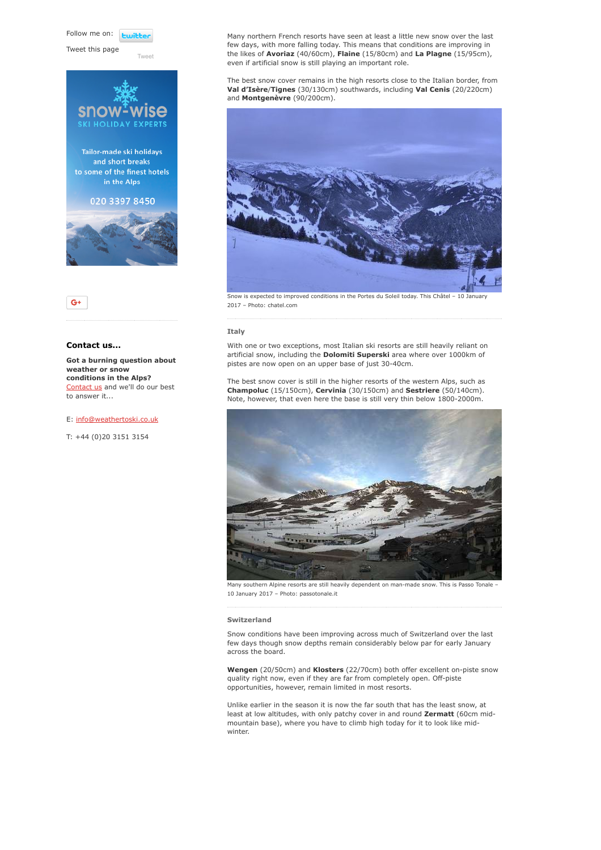Follow me on: **Lwitte** 

Tweet this page

[Tweet](https://twitter.com/intent/tweet?original_referer=https%3A%2F%2Fwww.weathertoski.co.uk%2Fweather-snow%2Farchive%2Fsnow-report-10-01-2017%2F&ref_src=twsrc%5Etfw&text=Weather%20to%20ski%20-%20Snow%20report%20-%2010%20January%202017&tw_p=tweetbutton&url=https%3A%2F%2Fwww.weathertoski.co.uk%2Fweather-snow%2Farchive%2Fsnow-report-10-01-2017%2F)



### $G+$

#### Contact us...

Got a burning question about weather or snow conditions in the Alps? [Contact us](https://www.weathertoski.co.uk/about-1/contact-us/) and we'll do our best to answer it...

#### E: [info@weathertoski.co.uk](mailto:fraser@weathertoski.co.uk)

T: +44 (0)20 3151 3154

Many northern French resorts have seen at least a little new snow over the last few days, with more falling today. This means that conditions are improving in the likes of Avoriaz (40/60cm), Flaine (15/80cm) and La Plagne (15/95cm), even if artificial snow is still playing an important role.

The best snow cover remains in the high resorts close to the Italian border, from Val d'Isère/Tignes (30/130cm) southwards, including Val Cenis (20/220cm) and Montgenèvre (90/200cm).



Snow is expected to improved conditions in the Portes du Soleil today. This Châtel – 10 January 2017 – Photo: chatel.com

#### Italy

With one or two exceptions, most Italian ski resorts are still heavily reliant on artificial snow, including the **Dolomiti Superski** area where over 1000km of pistes are now open on an upper base of just 30-40cm.

The best snow cover is still in the higher resorts of the western Alps, such as Champoluc (15/150cm), Cervinia (30/150cm) and Sestriere (50/140cm). Note, however, that even here the base is still very thin below 1800-2000m.



Many southern Alpine resorts are still heavily dependent on man-made snow. This is Passo Tonale – 10 January 2017 – Photo: passotonale.it

#### Switzerland

Snow conditions have been improving across much of Switzerland over the last few days though snow depths remain considerably below par for early January across the board.

Wengen (20/50cm) and Klosters (22/70cm) both offer excellent on-piste snow quality right now, even if they are far from completely open. Off-piste opportunities, however, remain limited in most resorts.

Unlike earlier in the season it is now the far south that has the least snow, at least at low altitudes, with only patchy cover in and round Zermatt (60cm midmountain base), where you have to climb high today for it to look like midwinter.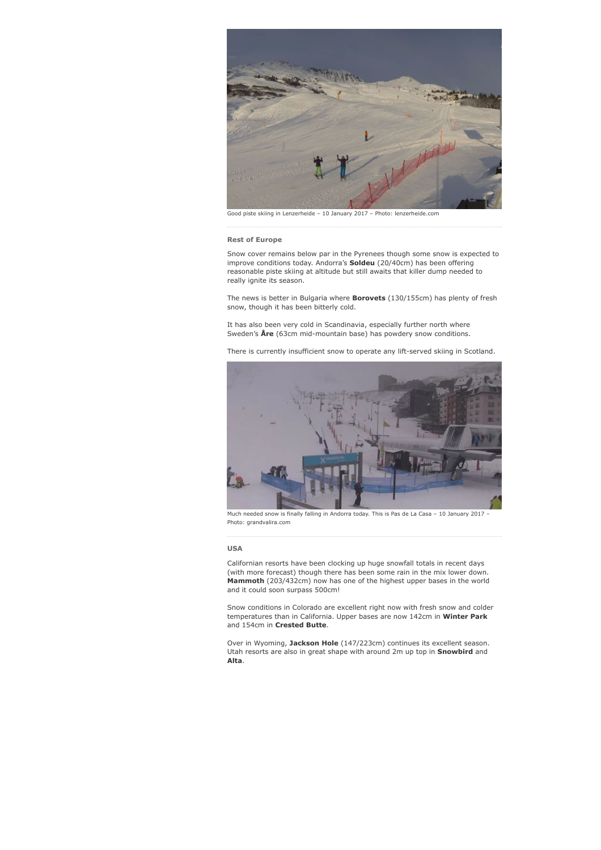

Good piste skiing in Lenzerheide – 10 January 2017 – Photo: lenzerheide.com

#### Rest of Europe

Snow cover remains below par in the Pyrenees though some snow is expected to improve conditions today. Andorra's **Soldeu** (20/40cm) has been offering reasonable piste skiing at altitude but still awaits that killer dump needed to really ignite its season.

The news is better in Bulgaria where **Borovets** (130/155cm) has plenty of fresh snow, though it has been bitterly cold.

It has also been very cold in Scandinavia, especially further north where Sweden's Åre (63cm mid-mountain base) has powdery snow conditions.

There is currently insufficient snow to operate any lift-served skiing in Scotland.



Much needed snow is finally falling in Andorra today. This is Pas de La Casa – 10 January 2017 – Photo: grandvalira.com

#### USA

Californian resorts have been clocking up huge snowfall totals in recent days (with more forecast) though there has been some rain in the mix lower down. **Mammoth** (203/432cm) now has one of the highest upper bases in the world and it could soon surpass 500cm!

Snow conditions in Colorado are excellent right now with fresh snow and colder temperatures than in California. Upper bases are now 142cm in Winter Park and 154cm in Crested Butte.

Over in Wyoming, Jackson Hole (147/223cm) continues its excellent season. Utah resorts are also in great shape with around 2m up top in Snowbird and Alta.